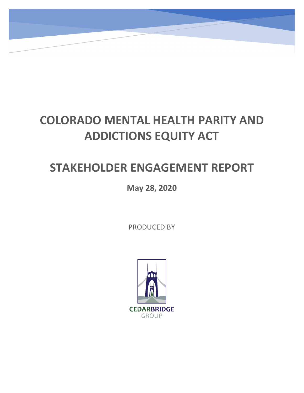# **COLORADO MENTAL HEALTH PARITY AND ADDICTIONS EQUITY ACT**

7

## **STAKEHOLDER ENGAGEMENT REPORT**

**May 28, 2020**

PRODUCED BY

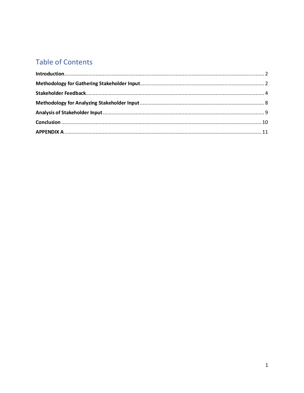### **Table of Contents**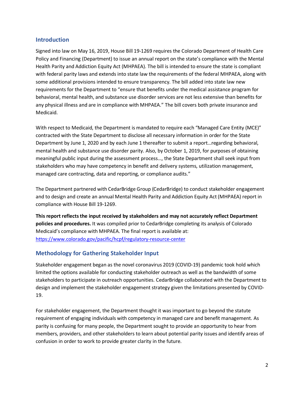#### <span id="page-2-0"></span>**Introduction**

Signed into law on May 16, 2019, House Bill 19-1269 requires the Colorado Department of Health Care Policy and Financing (Department) to issue an annual report on the state's compliance with the Mental Health Parity and Addiction Equity Act (MHPAEA). The bill is intended to ensure the state is compliant with federal parity laws and extends into state law the requirements of the federal MHPAEA, along with some additional provisions intended to ensure transparency. The bill added into state law new requirements for the Department to "ensure that benefits under the medical assistance program for behavioral, mental health, and substance use disorder services are not less extensive than benefits for any physical illness and are in compliance with MHPAEA." The bill covers both private insurance and Medicaid.

With respect to Medicaid, the Department is mandated to require each "Managed Care Entity (MCE)" contracted with the State Department to disclose all necessary information in order for the State Department by June 1, 2020 and by each June 1 thereafter to submit a report…regarding behavioral, mental health and substance use disorder parity. Also, by October 1, 2019, for purposes of obtaining meaningful public input during the assessment process…, the State Department shall seek input from stakeholders who may have competency in benefit and delivery systems, utilization management, managed care contracting, data and reporting, or compliance audits."

The Department partnered with CedarBridge Group (CedarBridge) to conduct stakeholder engagement and to design and create an annual Mental Health Parity and Addiction Equity Act (MHPAEA) report in compliance with House Bill 19-1269.

**This report reflects the input received by stakeholders and may not accurately reflect Department policies and procedures.** It was compiled prior to CedarBridge completing its analysis of Colorado Medicaid's compliance with MHPAEA. The final report is available at: <https://www.colorado.gov/pacific/hcpf/regulatory-resource-center>

#### <span id="page-2-1"></span>**Methodology for Gathering Stakeholder Input**

Stakeholder engagement began as the novel coronavirus 2019 (COVID-19) pandemic took hold which limited the options available for conducting stakeholder outreach as well as the bandwidth of some stakeholders to participate in outreach opportunities. CedarBridge collaborated with the Department to design and implement the stakeholder engagement strategy given the limitations presented by COVID-19.

For stakeholder engagement, the Department thought it was important to go beyond the statute requirement of engaging individuals with competency in managed care and benefit management. As parity is confusing for many people, the Department sought to provide an opportunity to hear from members, providers, and other stakeholders to learn about potential parity issues and identify areas of confusion in order to work to provide greater clarity in the future.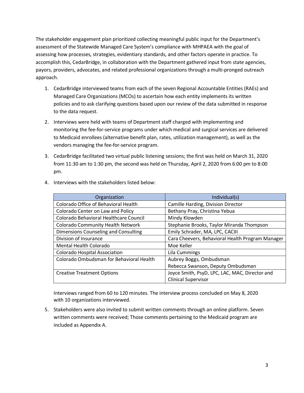The stakeholder engagement plan prioritized collecting meaningful public input for the Department's assessment of the Statewide Managed Care System's compliance with MHPAEA with the goal of assessing how processes, strategies, evidentiary standards, and other factors operate in practice. To accomplish this, CedarBridge, in collaboration with the Department gathered input from state agencies, payors, providers, advocates, and related professional organizations through a multi-pronged outreach approach.

- 1. CedarBridge interviewed teams from each of the seven Regional Accountable Entities (RAEs) and Managed Care Organizations (MCOs) to ascertain how each entity implements its written policies and to ask clarifying questions based upon our review of the data submitted in response to the data request.
- 2. Interviews were held with teams of Department staff charged with implementing and monitoring the fee-for-service programs under which medical and surgical services are delivered to Medicaid enrollees (alternative benefit plan, rates, utilization management), as well as the vendors managing the fee-for-service program.
- 3. CedarBridge facilitated two virtual public listening sessions; the first was held on March 31, 2020 from 11:30 am to 1:30 pm, the second was held on Thursday, April 2, 2020 from 6:00 pm to 8:00 pm.

| Organization                             | Individual(s)                                    |
|------------------------------------------|--------------------------------------------------|
| Colorado Office of Behavioral Health     | Camille Harding, Division Director               |
| Colorado Center on Law and Policy        | Bethany Pray, Christina Yebua                    |
| Colorado Behavioral Healthcare Council   | Mindy Klowden                                    |
| <b>Colorado Community Health Network</b> | Stephanie Brooks, Taylor Miranda Thompson        |
| Dimensions Counseling and Consulting     | Emily Schrader, MA, LPC, CACIII                  |
| Division of Insurance                    | Cara Cheevers, Behavioral Health Program Manager |
| Mental Health Colorado                   | Moe Keller                                       |
| Colorado Hospital Association            | Lila Cummings                                    |
| Colorado Ombudsman for Behavioral Health | Aubrey Boggs, Ombudsman                          |
|                                          | Rebecca Swanson, Deputy Ombudsman                |
| <b>Creative Treatment Options</b>        | Joyce Smith, PsyD, LPC, LAC, MAC, Director and   |
|                                          | <b>Clinical Supervisor</b>                       |

4. Interviews with the stakeholders listed below:

Interviews ranged from 60 to 120 minutes. The interview process concluded on May 8, 2020 with 10 organizations interviewed.

5. Stakeholders were also invited to submit written comments through an online platform. Seven written comments were received; Those comments pertaining to the Medicaid program are included as Appendix A.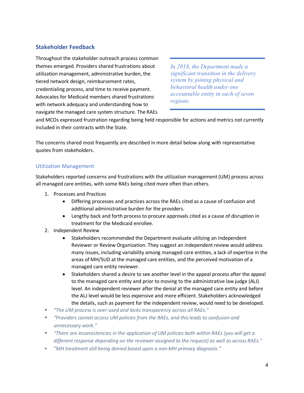#### <span id="page-4-0"></span>**Stakeholder Feedback**

Throughout the stakeholder outreach process common themes emerged. Providers shared frustrations about utilization management, administrative burden, the tiered network design, reimbursement rates, credentialing process, and time to receive payment. Advocates for Medicaid members shared frustrations with network adequacy and understanding how to navigate the managed care system structure. The RAEs

*In 2018, the Department made a significant transition in the delivery system by joining physical and behavioral health under one accountable entity in each of seven regions.*

and MCOs expressed frustration regarding being held responsible for actions and metrics not currently included in their contracts with the State.

The concerns shared most frequently are described in more detail below along with representative quotes from stakeholders.

#### Utilization Management

Stakeholders reported concerns and frustrations with the utilization management (UM) process across all managed care entities, with some RAEs being cited more often than others.

- 1. Processes and Practices
	- Differing processes and practices across the RAEs cited as a cause of confusion and additional administrative burden for the providers.
	- Lengthy back and forth process to procure approvals cited as a cause of disruption in treatment for the Medicaid enrollee.
- 2. Independent Review
	- Stakeholders recommended the Department evaluate utilizing an Independent Reviewer or Review Organization. They suggest an independent review would address many issues, including variability among managed care entities, a lack of expertise in the areas of MH/SUD at the managed care entities, and the perceived motivation of a managed care entity reviewer.
	- Stakeholders shared a desire to see another level in the appeal process after the appeal to the managed care entity and prior to moving to the administrative law judge (ALJ) level. An independent reviewer after the denial at the managed care entity and before the ALJ level would be less expensive and more efficient. Stakeholders acknowledged the details, such as payment for the independent review, would need to be developed.
- *"The UM process is over-used and lacks transparency across all RAEs."*
- *"Providers cannot access UM policies from the RAEs, and thisleads to confusion and unnecessary work."*
- *"There are inconsistencies in the application of UM policies both within RAEs (you will get a different response depending on the reviewer assigned to the request) as well as across RAEs."*
- *"MH treatment still being denied based upon a non-MH primary diagnosis."*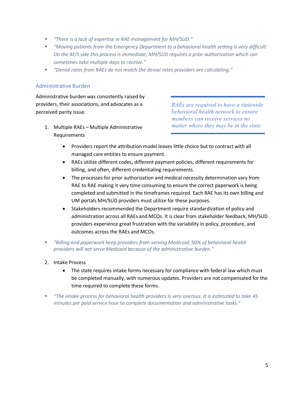- *"There is a lack of expertise in RAE management for MH/SUD."*
- *"Moving patients from the Emergency Department to a behavioral health setting is very difficult. On the M/S side this process is immediate; MH/SUD requires a prior authorization which can sometimes take multiple days to receive."*
- *"Denial rates from RAEs do not match the denial rates providers are calculating."*

#### Administrative Burden

Administrative burden was consistently raised by providers, their associations, and advocates as a perceived parity issue.

1. Multiple RAEs – Multiple Administrative Requirements

*RAEs are required to have a statewide behavioral health network to ensure members can receive services no matter where they may be in the state.* 

- Providers report the attribution model leaves little choice but to contract with all managed care entities to ensure payment.
- RAEs utilize different codes, different payment policies, different requirements for billing, and often, different credentialing requirements.
- The processes for prior authorization and medical necessity determination vary from RAE to RAE making it very time consuming to ensure the correct paperwork is being completed and submitted in the timeframes required. Each RAE has its own billing and UM portals MH/SUD providers must utilize for these purposes.
- Stakeholders recommended the Department require standardization of policy and administration across all RAEs and MCOs. It is clear from stakeholder feedback, MH/SUD providers experience great frustration with the variability in policy, procedure, and outcomes across the RAEs and MCOs.
- *"Billing and paperwork keep providers from serving Medicaid. 50% of behavioral health providers will not serve Medicaid because of the administrative burden."*
- 2. Intake Process
	- The state requires intake forms necessary for compliance with federal law which must be completed manually, with numerous updates. Providers are not compensated for the time required to complete these forms.
- *"The intake process for behavioral health providers is very onerous. It is estimated to take 45 minutes per paid service hour to complete documentation and administrative tasks."*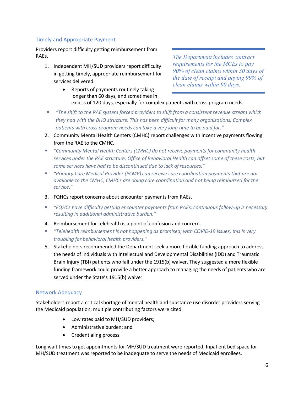#### Timely and Appropriate Payment

Providers report difficulty getting reimbursement from RAEs. *The Department includes contract* 

1. Independent MH/SUD providers report difficulty in getting timely, appropriate reimbursement for services delivered.

*requirements for the MCEs to pay 90% of clean claims within 30 days of the date of receipt and paying 99% of clean claims within 90 days.*

- Reports of payments routinely taking longer than 60 days, and sometimes in excess of 120 days, especially for complex patients with cross program needs.
- *"The shift to the RAE system forced providers to shift from a consistent revenue stream which they had with the BHO structure. This has been difficult for many organizations. Complex patients with cross program needs can take a very long time to be paid for."*
- 2. Community Mental Health Centers (CMHC) report challenges with incentive payments flowing from the RAE to the CMHC.
- *"Community Mental Health Centers (CMHC) do not receive payments for community health services under the RAE structure; Office of Behavioral Health can offset some of these costs, but some services have had to be discontinued due to lack of resources."*
- *"Primary Care Medical Provider (PCMP) can receive care coordination payments that are not available to the CMHC; CMHCs are doing care coordination and not being reimbursed for the service."*
- 3. FQHCs report concerns about encounter payments from RAEs.
- *"FQHCs have difficulty getting encounter payments from RAEs; continuous follow-up is necessary resulting in additional administrative burden."*
- 4. Reimbursement for telehealth is a point of confusion and concern.
- *"Telehealth reimbursement is not happening as promised; with COVID-19 issues, this is very troubling for behavioral health providers."*
- 5. Stakeholders recommended the Department seek a more flexible funding approach to address the needs of individuals with Intellectual and Developmental Disabilities (IDD) and Traumatic Brain Injury (TBI) patients who fall under the 1915(b) waiver. They suggested a more flexible funding framework could provide a better approach to managing the needs of patients who are served under the State's 1915(b) waiver.

#### Network Adequacy

Stakeholders report a critical shortage of mental health and substance use disorder providers serving the Medicaid population; multiple contributing factors were cited:

- Low rates paid to MH/SUD providers;
- Administrative burden; and
- Credentialing process.

Long wait times to get appointments for MH/SUD treatment were reported. Inpatient bed space for MH/SUD treatment was reported to be inadequate to serve the needs of Medicaid enrollees.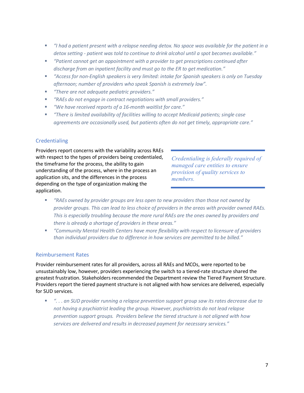- *"I had a patient present with a relapse needing detox. No space was available for the patient in a detox setting - patient was told to continue to drink alcohol until a spot becomes available."*
- *"Patient cannot get an appointment with a provider to get prescriptions continued after discharge from an inpatient facility and must go to the ER to get medication."*
- *"Access for non-English speakers is very limited: intake for Spanish speakers is only on Tuesday afternoon; number of providers who speak Spanish is extremely low".*
- *"There are not adequate pediatric providers."*
- *"RAEs do not engage in contract negotiations with small providers."*
- *"We have received reports of a 16-month waitlist for care."*
- *"There is limited availability of facilities willing to accept Medicaid patients; single case agreements are occasionally used, but patients often do not get timely, appropriate care."*

#### Credentialing

Providers report concerns with the variability across RAEs with respect to the types of providers being credentialed, the timeframe for the process, the ability to gain understanding of the process, where in the process an application sits, and the differences in the process depending on the type of organization making the application.

*Credentialing is federally required of managed care entities to ensure provision of quality services to members.*

- *"RAEs owned by provider groups are less open to new providers than those not owned by provider groups. This can lead to less choice of providers in the areas with provider owned RAEs. This is especially troubling because the more rural RAEs are the ones owned by providers and there is already a shortage of providers in these areas."*
- *"Community Mental Health Centers have more flexibility with respect to licensure of providers than individual providers due to difference in how services are permitted to be billed."*

#### Reimbursement Rates

Provider reimbursement rates for all providers, across all RAEs and MCOs, were reported to be unsustainably low, however, providers experiencing the switch to a tiered-rate structure shared the greatest frustration. Stakeholders recommended the Department review the Tiered Payment Structure. Providers report the tiered payment structure is not aligned with how services are delivered, especially for SUD services.

 *". . . an SUD provider running a relapse prevention support group saw its rates decrease due to not having a psychiatrist leading the group. However, psychiatrists do not lead relapse prevention support groups. Providers believe the tiered structure is not aligned with how services are delivered and results in decreased payment for necessary services."*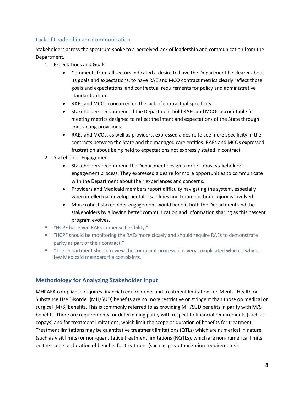#### Lack of Leadership and Communication

Stakeholders across the spectrum spoke to a perceived lack of leadership and communication from the Department.

- 1. Expectations and Goals
	- Comments from all sectors indicated a desire to have the Department be clearer about its goals and expectations, to have RAE and MCO contract metrics clearly reflect those goals and expectations, and contractual requirements for policy and administrative standardization.
	- RAEs and MCOs concurred on the lack of contractual specificity.
	- Stakeholders recommended the Department hold RAEs and MCOs accountable for meeting metrics designed to reflect the intent and expectations of the State through contracting provisions.
	- RAEs and MCOs, as well as providers, expressed a desire to see more specificity in the contracts between the State and the managed care entities. RAEs and MCOs expressed frustration about being held to expectations not expressly stated in contract.
- 2. Stakeholder Engagement
	- Stakeholders recommend the Department design a more robust stakeholder engagement process. They expressed a desire for more opportunities to communicate with the Department about their experiences and concerns.
	- Providers and Medicaid members report difficulty navigating the system, especially when intellectual developmental disabilities and traumatic brain injury is involved.
	- More robust stakeholder engagement would benefit both the Department and the stakeholders by allowing better communication and information sharing as this nascent program evolves.
- "HCPF has given RAEs immense flexibility."
- "HCPF should be monitoring the RAEs more closely and should require RAEs to demonstrate parity as part of their contract."
- "The Department should review the complaint process; it is very complicated which is why so few Medicaid members file complaints."

#### <span id="page-8-0"></span>**Methodology for Analyzing Stakeholder Input**

MHPAEA compliance requires financial requirements and treatment limitations on Mental Health or Substance Use Disorder (MH/SUD) benefits are no more restrictive or stringent than those on medical or surgical (M/S) benefits. This is commonly referred to as providing MH/SUD benefits in parity with M/S benefits. There are requirements for determining parity with respect to financial requirements (such as copays) and for treatment limitations, which limit the scope or duration of benefits for treatment. Treatment limitations may be quantitative treatment limitations (QTLs) which are numerical in nature (such as visit limits) or non-quantitative treatment limitations (NQTLs), which are non-numerical limits on the scope or duration of benefits for treatment (such as preauthorization requirements).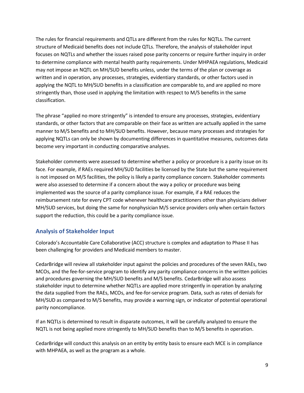The rules for financial requirements and QTLs are different from the rules for NQTLs. The current structure of Medicaid benefits does not include QTLs. Therefore, the analysis of stakeholder input focuses on NQTLs and whether the issues raised pose parity concerns or require further inquiry in order to determine compliance with mental health parity requirements. Under MHPAEA regulations, Medicaid may not impose an NQTL on MH/SUD benefits unless, under the terms of the plan or coverage as written and in operation, any processes, strategies, evidentiary standards, or other factors used in applying the NQTL to MH/SUD benefits in a classification are comparable to, and are applied no more stringently than, those used in applying the limitation with respect to M/S benefits in the same classification.

The phrase "applied no more stringently" is intended to ensure any processes, strategies, evidentiary standards, or other factors that are comparable on their face as written are actually applied in the same manner to M/S benefits and to MH/SUD benefits. However, because many processes and strategies for applying NQTLs can only be shown by documenting differences in quantitative measures, outcomes data become very important in conducting comparative analyses.

Stakeholder comments were assessed to determine whether a policy or procedure is a parity issue on its face. For example, if RAEs required MH/SUD facilities be licensed by the State but the same requirement is not imposed on M/S facilities, the policy is likely a parity compliance concern. Stakeholder comments were also assessed to determine if a concern about the way a policy or procedure was being implemented was the source of a parity compliance issue. For example, if a RAE reduces the reimbursement rate for every CPT code whenever healthcare practitioners other than physicians deliver MH/SUD services, but doing the same for nonphysician M/S service providers only when certain factors support the reduction, this could be a parity compliance issue.

#### <span id="page-9-0"></span>**Analysis of Stakeholder Input**

Colorado's Accountable Care Collaborative (ACC) structure is complex and adaptation to Phase II has been challenging for providers and Medicaid members to master.

CedarBridge will review all stakeholder input against the policies and procedures of the seven RAEs, two MCOs, and the fee-for-service program to identify any parity compliance concernsin the written policies and procedures governing the MH/SUD benefits and M/S benefits. CedarBridge will also assess stakeholder input to determine whether NQTLs are applied more stringently in operation by analyzing the data supplied from the RAEs, MCOs, and fee-for-service program. Data, such as rates of denials for MH/SUD as compared to M/S benefits, may provide a warning sign, or indicator of potential operational parity noncompliance.

If an NQTLs is determined to result in disparate outcomes, it will be carefully analyzed to ensure the NQTL is not being applied more stringently to MH/SUD benefits than to M/S benefits in operation.

CedarBridge will conduct this analysis on an entity by entity basis to ensure each MCE is in compliance with MHPAEA, as well as the program as a whole.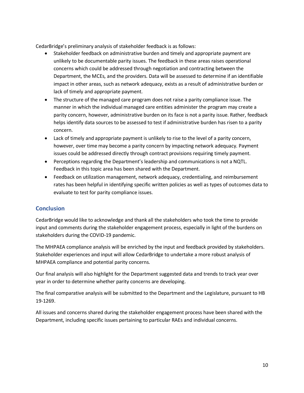CedarBridge's preliminary analysis of stakeholder feedback is as follows:

- Stakeholder feedback on administrative burden and timely and appropriate payment are unlikely to be documentable parity issues. The feedback in these areas raises operational concerns which could be addressed through negotiation and contracting between the Department, the MCEs, and the providers. Data will be assessed to determine if an identifiable impact in other areas, such as network adequacy, exists as a result of administrative burden or lack of timely and appropriate payment.
- The structure of the managed care program does not raise a parity compliance issue. The manner in which the individual managed care entities administer the program may create a parity concern, however, administrative burden on its face is not a parity issue. Rather, feedback helps identify data sources to be assessed to test if administrative burden has risen to a parity concern.
- Lack of timely and appropriate payment is unlikely to rise to the level of a parity concern, however, over time may become a parity concern by impacting network adequacy. Payment issues could be addressed directly through contract provisions requiring timely payment.
- Perceptions regarding the Department's leadership and communications is not a NQTL. Feedback in this topic area has been shared with the Department.
- Feedback on utilization management, network adequacy, credentialing, and reimbursement rates has been helpful in identifying specific written policies as well as types of outcomes data to evaluate to test for parity compliance issues.

#### <span id="page-10-0"></span>**Conclusion**

CedarBridge would like to acknowledge and thank all the stakeholders who took the time to provide input and comments during the stakeholder engagement process, especially in light of the burdens on stakeholders during the COVID-19 pandemic.

The MHPAEA compliance analysis will be enriched by the input and feedback provided by stakeholders. Stakeholder experiences and input will allow CedarBridge to undertake a more robust analysis of MHPAEA compliance and potential parity concerns.

Our final analysis will also highlight for the Department suggested data and trends to track year over year in order to determine whether parity concerns are developing.

The final comparative analysis will be submitted to the Department and the Legislature, pursuant to HB 19-1269.

All issues and concerns shared during the stakeholder engagement process have been shared with the Department, including specific issues pertaining to particular RAEs and individual concerns.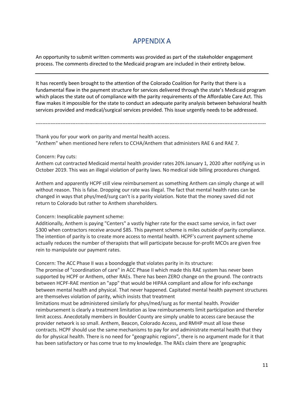### APPENDIX A

<span id="page-11-0"></span>An opportunity to submit written comments was provided as part of the stakeholder engagement process. The comments directed to the Medicaid program are included in their entirety below.

It has recently been brought to the attention of the Colorado Coalition for Parity that there is a fundamental flaw in the payment structure for services delivered through the state's Medicaid program which places the state out of compliance with the parity requirements of the Affordable Care Act. This flaw makes it impossible for the state to conduct an adequate parity analysis between behavioral health services provided and medical/surgical services provided. This issue urgently needs to be addressed.

------------------------------------------------------------------------------------------------------------------------------------------

Thank you for your work on parity and mental health access. "Anthem" when mentioned here refers to CCHA/Anthem that administers RAE 6 and RAE 7.

Concern: Pay cuts:

Anthem cut contracted Medicaid mental health provider rates 20% January 1, 2020 after notifying us in October 2019. This was an illegal violation of parity laws. No medical side billing procedures changed.

Anthem and apparently HCPF still view reimbursement as something Anthem can simply change at will without reason. This is false. Dropping our rate was illegal. The fact that mental health rates can be changed in ways that phys/med/surg can't is a parity violation. Note that the money saved did not return to Colorado but rather to Anthem shareholders.

Concern: Inexplicable payment scheme:

Additionally, Anthem is paying "Centers" a vastly higher rate for the exact same service, in fact over \$300 when contractors receive around \$85. This payment scheme is miles outside of parity compliance. The intention of parity is to create more access to mental health. HCPF's current payment scheme actually reduces the number of therapists that will participate because for-profit MCOs are given free rein to manipulate our payment rates.

Concern: The ACC Phase II was a boondoggle that violates parity in its structure:

The promise of "coordination of care" in ACC Phase II which made this RAE system has never been supported by HCPF or Anthem, other RAEs. There has been ZERO change on the ground. The contracts between HCPF-RAE mention an "app" that would be HIPAA compliant and allow for info exchange between mental health and physical. That never happened. Capitated mental health payment structures are themselves violation of parity, which insists that treatment

limitations must be administered similarly for phys/med/surg as for mental health. Provider reimbursement is clearly a treatment limitation as low reimbursements limit participation and therefor limit access. Anecdotally members in Boulder County are simply unable to access care because the provider network is so small. Anthem, Beacon, Colorado Access, and RMHP must all lose these contracts. HCPF should use the same mechanisms to pay for and administrate mental health that they do for physical health. There is no need for "geographic regions", there is no argument made for it that has been satisfactory or has come true to my knowledge. The RAEs claim there are 'geographic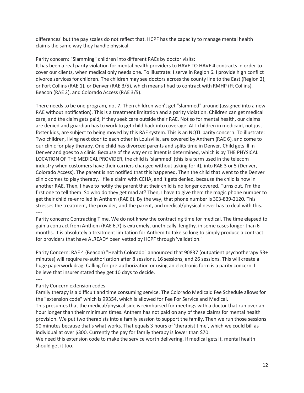differences' but the pay scales do not reflect that. HCPF has the capacity to manage mental health claims the same way they handle physical.

Parity concern: "Slamming" children into different RAEs by doctor visits: It has been a real parity violation for mental health providers to HAVE TO HAVE 4 contracts in order to cover our clients, when medical only needs one. To illustrate: I serve in Region 6. I provide high conflict divorce services for children. The children may see doctors across the county line to the East (Region 2), or Fort Collins (RAE 1), or Denver (RAE 3/5), which means I had to contract with RMHP (Ft Collins), Beacon (RAE 2), and Colorado Access (RAE 3/5).

There needs to be one program, not 7. Then children won't get "slammed" around (assigned into a new RAE without notification). This is a treatment limitation and a parity violation. Children can get medical care, and the claim gets paid, if they seek care outside their RAE. Not so for mental health, our claims are denied and guardian has to work to get child back into coverage. ALL children in medicaid, not just foster kids, are subject to being moved by this RAE system. This is an NQTL parity concern. To illustrate: Two children, living next door to each other in Louisville, are covered by Anthem (RAE 6), and come to our clinic for play therapy. One child has divorced parents and splits time in Denver. Child gets ill in Denver and goes to a clinic. Because of the way enrollment is determined, which is by THE PHYSICAL LOCATION OF THE MEDICAL PROVIDER, the child is 'slammed' (this is a term used in the telecom industry when customers have their carriers changed without asking for it), into RAE 3 or 5 (Denver, Colorado Access). The parent is not notified that this happened. Then the child that went to the Denver clinic comes to play therapy. I file a claim with CCHA, and it gets denied, because the child is now in another RAE. Then, I have to notify the parent that their child is no longer covered. Turns out, I'm the first one to tell them. So who do they get mad at? Then, I have to give them the magic phone number to get their child re-enrolled in Anthem (RAE 6). By the way, that phone number is 303-839-2120. This stresses the treatment, the provider, and the parent, and medical/physical never has to deal with this. ----

Parity concern: Contracting Time. We do not know the contracting time for medical. The time elapsed to gain a contract from Anthem (RAE 6,7) is extremely, unethically, lengthy, in some cases longer than 6 months. It is absolutely a treatment limitation for Anthem to take so long to simply produce a contract for providers that have ALREADY been vetted by HCPF through 'validation.' ---

Parity Concern: RAE 4 (Beacon) "Health Colorado" announced that 90837 (outpatient psychotherapy 53+ minutes) will require re-authorization after 8 sessions, 16 sessions, and 26 sessions. This will create a huge paperwork drag. Calling for pre-authorization or using an electronic form is a parity concern. I believe that insurer stated they get 10 days to decide.

---- Parity Concern extension codes

Family therapy is a difficult and time consuming service. The Colorado Medicaid Fee Schedule allows for the "extension code" which is 99354, which is allowed for Fee For Service and Medical.

This presumes that the medical/physical side is reimbursed for meetings with a doctor that run over an hour longer than their minimum times. Anthem has not paid on any of these claims for mental health provision. We put two therapists into a family session to support the family. Then we run those sessions 90 minutes because that's what works. That equals 3 hours of 'therapist time', which we could bill as individual at over \$300. Currently the pay for family therapy is lower than \$70.

We need this extension code to make the service worth delivering. If medical gets it, mental health should get it too.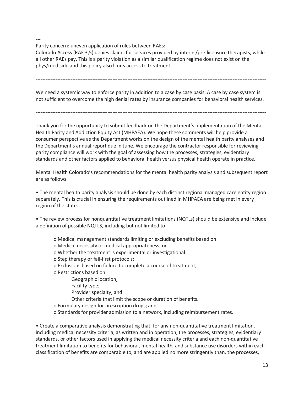---

Parity concern: uneven application of rules between RAEs:

Colorado Access (RAE 3,5) denies claims for services provided by interns/pre-licensure therapists, while all other RAEs pay. This is a parity violation as a similar qualification regime does not exist on the phys/med side and this policy also limits access to treatment.

------------------------------------------------------------------------------------------------------------------------------------------

We need a systemic way to enforce parity in addition to a case by case basis. A case by case system is not sufficient to overcome the high denial rates by insurance companies for behavioral health services.

------------------------------------------------------------------------------------------------------------------------------------------

Thank you for the opportunity to submit feedback on the Department's implementation of the Mental Health Parity and Addiction Equity Act (MHPAEA). We hope these comments will help provide a consumer perspective as the Department works on the design of the mental health parity analyses and the Department's annual report due in June. We encourage the contractor responsible for reviewing parity compliance will work with the goal of assessing how the processes, strategies, evidentiary standards and other factors applied to behavioral health versus physical health operate in practice.

Mental Health Colorado's recommendations for the mental health parity analysis and subsequent report are as follows:

• The mental health parity analysis should be done by each distinct regional managed care entity region separately. This is crucial in ensuring the requirements outlined in MHPAEA are being met in every region of the state.

• The review process for nonquantitative treatment limitations (NQTLs) should be extensive and include a definition of possible NQTLS, including but not limited to:

- o Medical management standards limiting or excluding benefits based on:
- o Medical necessity or medical appropriateness; or
- o Whether the treatment is experimental or investigational.
- o Step therapy or fail-first protocols;
- o Exclusions based on failure to complete a course of treatment;
- o Restrictions based on:
	- Geographic location;
	- Facility type;
	- Provider specialty; and
	- Other criteria that limit the scope or duration of benefits.
- o Formulary design for prescription drugs; and
- o Standards for provider admission to a network, including reimbursement rates.

• Create a comparative analysis demonstrating that, for any non-quantitative treatment limitation, including medical necessity criteria, as written and in operation, the processes, strategies, evidentiary standards, or other factors used in applying the medical necessity criteria and each non-quantitative treatment limitation to benefits for behavioral, mental health, and substance use disorders within each classification of benefits are comparable to, and are applied no more stringently than, the processes,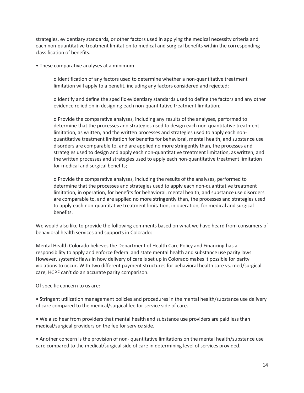strategies, evidentiary standards, or other factors used in applying the medical necessity criteria and each non-quantitative treatment limitation to medical and surgical benefits within the corresponding classification of benefits.

• These comparative analyses at a minimum:

o Identification of any factors used to determine whether a non-quantitative treatment limitation will apply to a benefit, including any factors considered and rejected;

o Identify and define the specific evidentiary standards used to define the factors and any other evidence relied on in designing each non-quantitative treatment limitation;

o Provide the comparative analyses, including any results of the analyses, performed to determine that the processes and strategies used to design each non-quantitative treatment limitation, as written, and the written processes and strategies used to apply each nonquantitative treatment limitation for benefits for behavioral, mental health, and substance use disorders are comparable to, and are applied no more stringently than, the processes and strategies used to design and apply each non-quantitative treatment limitation, as written, and the written processes and strategies used to apply each non-quantitative treatment limitation for medical and surgical benefits;

o Provide the comparative analyses, including the results of the analyses, performed to determine that the processes and strategies used to apply each non-quantitative treatment limitation, in operation, for benefits for behavioral, mental health, and substance use disorders are comparable to, and are applied no more stringently than, the processes and strategies used to apply each non-quantitative treatment limitation, in operation, for medical and surgical benefits.

We would also like to provide the following comments based on what we have heard from consumers of behavioral health services and supports in Colorado:

Mental Health Colorado believes the Department of Health Care Policy and Financing has a responsibility to apply and enforce federal and state mental health and substance use parity laws. However, systemic flaws in how delivery of care is set up in Colorado makes it possible for parity violations to occur. With two different payment structures for behavioral health care vs. med/surgical care, HCPF can't do an accurate parity comparison.

Of specific concern to us are:

• Stringent utilization management policies and procedures in the mental health/substance use delivery of care compared to the medical/surgical fee for service side of care.

• We also hear from providers that mental health and substance use providers are paid less than medical/surgical providers on the fee for service side.

• Another concern is the provision of non- quantitative limitations on the mental health/substance use care compared to the medical/surgical side of care in determining level of services provided.